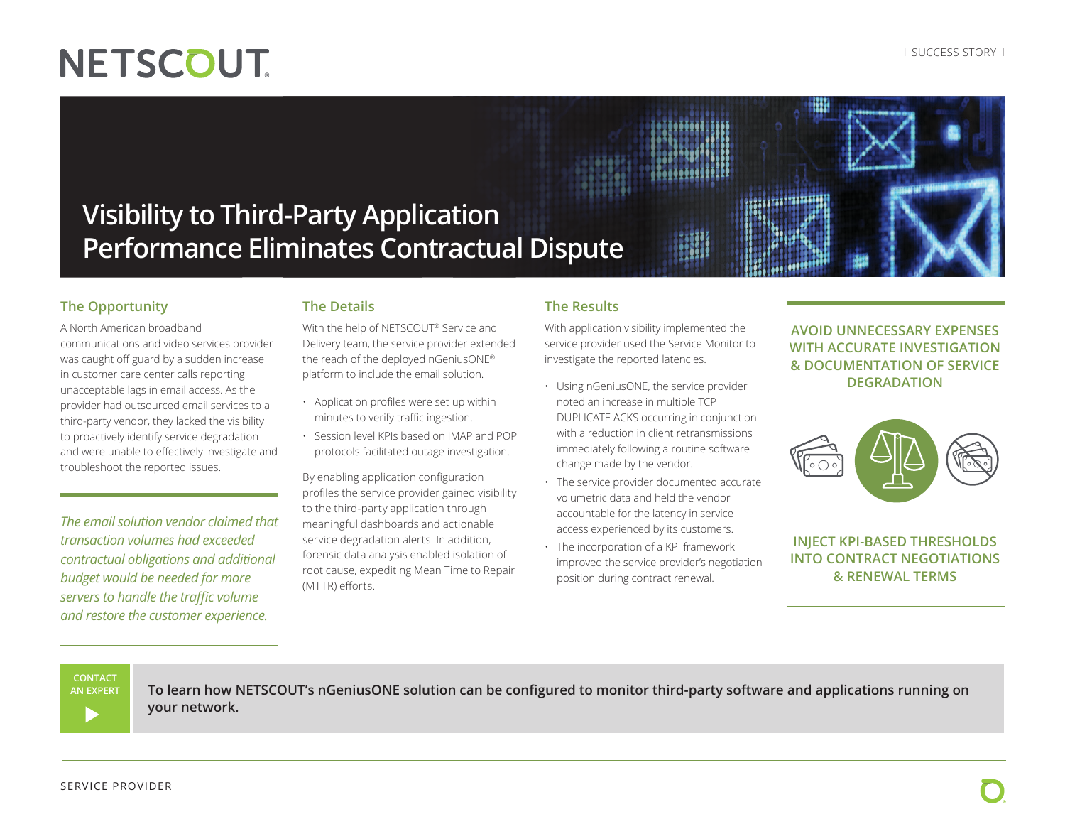# **Visibility to Third-Party Application Performance Eliminates Contractual Dispute**

### **The Opportunity**

A North American broadband communications and video services provider was caught off guard by a sudden increase in customer care center calls reporting unacceptable lags in email access. As the provider had outsourced email services to a third-party vendor, they lacked the visibility to proactively identify service degradation and were unable to effectively investigate and troubleshoot the reported issues.

*The email solution vendor claimed that transaction volumes had exceeded contractual obligations and additional budget would be needed for more servers to handle the traffic volume and restore the customer experience.*

## **The Details**

With the help of NETSCOUT® Service and Delivery team, the service provider extended the reach of the deployed nGeniusONE® platform to include the email solution.

- Application profiles were set up within minutes to verify traffic ingestion.
- Session level KPIs based on IMAP and POP protocols facilitated outage investigation.

By enabling application configuration profiles the service provider gained visibility to the third-party application through meaningful dashboards and actionable service degradation alerts. In addition, forensic data analysis enabled isolation of root cause, expediting Mean Time to Repair (MTTR) efforts.

#### **The Results**

With application visibility implemented the service provider used the Service Monitor to investigate the reported latencies.

į

- Using nGeniusONE, the service provider noted an increase in multiple TCP DUPLICATE ACKS occurring in conjunction with a reduction in client retransmissions immediately following a routine software change made by the vendor.
- The service provider documented accurate volumetric data and held the vendor accountable for the latency in service access experienced by its customers.
- The incorporation of a KPI framework improved the service provider's negotiation position during contract renewal.

#### **AVOID UNNECESSARY EXPENSES WITH ACCURATE INVESTIGATION & DOCUMENTATION OF SERVICE DEGRADATION**



### **INJECT KPI-BASED THRESHOLDS INTO CONTRACT NEGOTIATIONS & RENEWAL TERMS**

#### **CONTACT**

**AN EXPERT**

**To learn how NETSCOUT's nGeniusONE solution can be configured to monitor third-party software and applications running on your network.**